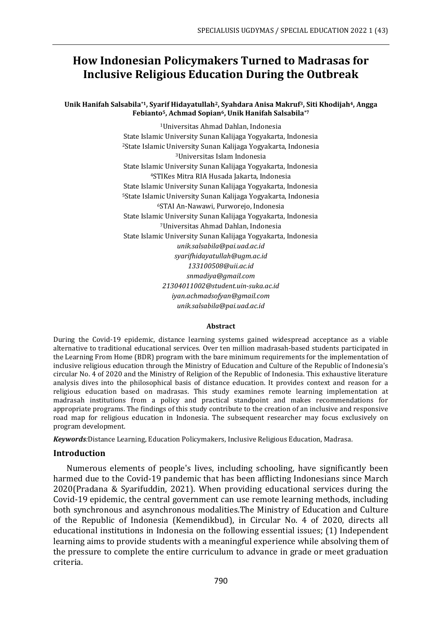# **How Indonesian Policymakers Turned to Madrasas for Inclusive Religious Education During the Outbreak**

### **Unik Hanifah Salsabila\*1, Syarif Hidayatullah2, Syahdara Anisa Makruf3, Siti Khodijah4, Angga Febianto5, Achmad Sopian6, Unik Hanifah Salsabila\*7**

<sup>1</sup>Universitas Ahmad Dahlan, Indonesia State Islamic University Sunan Kalijaga Yogyakarta, Indonesia <sup>2</sup>State Islamic University Sunan Kalijaga Yogyakarta, Indonesia <sup>3</sup>Universitas Islam Indonesia State Islamic University Sunan Kalijaga Yogyakarta, Indonesia <sup>4</sup>STIKes Mitra RIA Husada Jakarta, Indonesia State Islamic University Sunan Kalijaga Yogyakarta, Indonesia <sup>5</sup>State Islamic University Sunan Kalijaga Yogyakarta, Indonesia <sup>6</sup>STAI An-Nawawi, Purworejo, Indonesia State Islamic University Sunan Kalijaga Yogyakarta, Indonesia <sup>7</sup>Universitas Ahmad Dahlan, Indonesia State Islamic University Sunan Kalijaga Yogyakarta, Indonesia *unik.salsabila@pai.uad.ac.id syarifhidayatullah@ugm.ac.id 133100508@uii.ac.id snmadiya@gmail.com 21304011002@student.uin-suka.ac.id iyan.achmadsofyan@gmail.com unik.salsabila@pai.uad.ac.id*

#### **Abstract**

During the Covid-19 epidemic, distance learning systems gained widespread acceptance as a viable alternative to traditional educational services. Over ten million madrasah-based students participated in the Learning From Home (BDR) program with the bare minimum requirements for the implementation of inclusive religious education through the Ministry of Education and Culture of the Republic of Indonesia's circular No. 4 of 2020 and the Ministry of Religion of the Republic of Indonesia. This exhaustive literature analysis dives into the philosophical basis of distance education. It provides context and reason for a religious education based on madrasas. This study examines remote learning implementation at madrasah institutions from a policy and practical standpoint and makes recommendations for appropriate programs. The findings of this study contribute to the creation of an inclusive and responsive road map for religious education in Indonesia. The subsequent researcher may focus exclusively on program development.

*Keywords:*Distance Learning, Education Policymakers, Inclusive Religious Education, Madrasa.

# **Introduction**

Numerous elements of people's lives, including schooling, have significantly been harmed due to the Covid-19 pandemic that has been afflicting Indonesians since March 2020(Pradana & Syarifuddin, 2021). When providing educational services during the Covid-19 epidemic, the central government can use remote learning methods, including both synchronous and asynchronous modalities.The Ministry of Education and Culture of the Republic of Indonesia (Kemendikbud), in Circular No. 4 of 2020, directs all educational institutions in Indonesia on the following essential issues; (1) Independent learning aims to provide students with a meaningful experience while absolving them of the pressure to complete the entire curriculum to advance in grade or meet graduation criteria.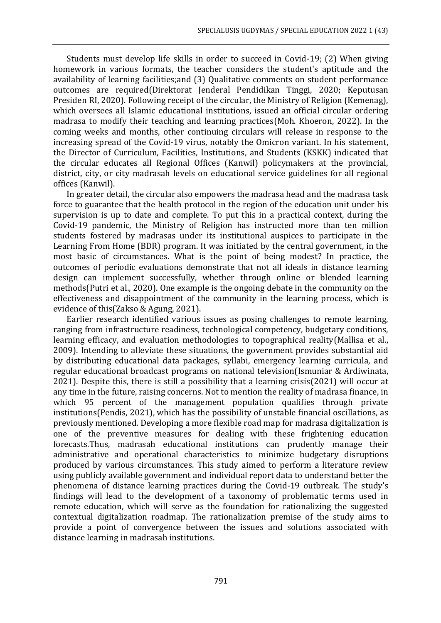Students must develop life skills in order to succeed in Covid-19; (2) When giving homework in various formats, the teacher considers the student's aptitude and the availability of learning facilities;and (3) Qualitative comments on student performance outcomes are required(Direktorat Jenderal Pendidikan Tinggi, 2020; Keputusan Presiden RI, 2020). Following receipt of the circular, the Ministry of Religion (Kemenag), which oversees all Islamic educational institutions, issued an official circular ordering madrasa to modify their teaching and learning practices(Moh. Khoeron, 2022). In the coming weeks and months, other continuing circulars will release in response to the increasing spread of the Covid-19 virus, notably the Omicron variant. In his statement, the Director of Curriculum, Facilities, Institutions, and Students (KSKK) indicated that the circular educates all Regional Offices (Kanwil) policymakers at the provincial, district, city, or city madrasah levels on educational service guidelines for all regional offices (Kanwil).

In greater detail, the circular also empowers the madrasa head and the madrasa task force to guarantee that the health protocol in the region of the education unit under his supervision is up to date and complete. To put this in a practical context, during the Covid-19 pandemic, the Ministry of Religion has instructed more than ten million students fostered by madrasas under its institutional auspices to participate in the Learning From Home (BDR) program. It was initiated by the central government, in the most basic of circumstances. What is the point of being modest? In practice, the outcomes of periodic evaluations demonstrate that not all ideals in distance learning design can implement successfully, whether through online or blended learning methods(Putri et al., 2020). One example is the ongoing debate in the community on the effectiveness and disappointment of the community in the learning process, which is evidence of this(Zakso & Agung, 2021).

Earlier research identified various issues as posing challenges to remote learning, ranging from infrastructure readiness, technological competency, budgetary conditions, learning efficacy, and evaluation methodologies to topographical reality(Mallisa et al., 2009). Intending to alleviate these situations, the government provides substantial aid by distributing educational data packages, syllabi, emergency learning curricula, and regular educational broadcast programs on national television(Ismuniar & Ardiwinata, 2021). Despite this, there is still a possibility that a learning crisis(2021) will occur at any time in the future, raising concerns. Not to mention the reality of madrasa finance, in which 95 percent of the management population qualifies through private institutions(Pendis, 2021), which has the possibility of unstable financial oscillations, as previously mentioned. Developing a more flexible road map for madrasa digitalization is one of the preventive measures for dealing with these frightening education forecasts.Thus, madrasah educational institutions can prudently manage their administrative and operational characteristics to minimize budgetary disruptions produced by various circumstances. This study aimed to perform a literature review using publicly available government and individual report data to understand better the phenomena of distance learning practices during the Covid-19 outbreak. The study's findings will lead to the development of a taxonomy of problematic terms used in remote education, which will serve as the foundation for rationalizing the suggested contextual digitalization roadmap. The rationalization premise of the study aims to provide a point of convergence between the issues and solutions associated with distance learning in madrasah institutions.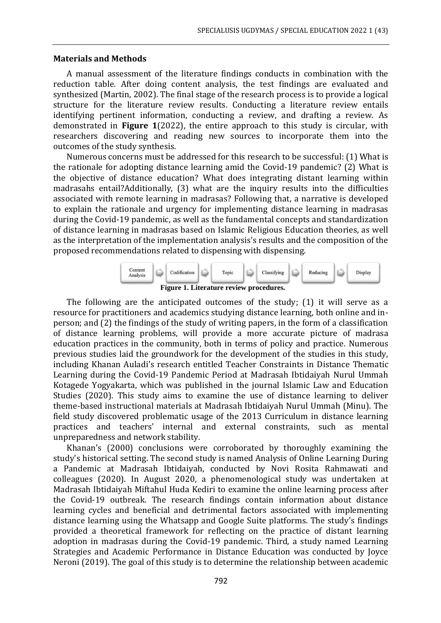#### **Materials and Methods**

A manual assessment of the literature findings conducts in combination with the reduction table. After doing content analysis, the test findings are evaluated and synthesized (Martin, 2002). The final stage of the research process is to provide a logical structure for the literature review results. Conducting a literature review entails identifying pertinent information, conducting a review, and drafting a review. As demonstrated in **Figure 1**(2022), the entire approach to this study is circular, with researchers discovering and reading new sources to incorporate them into the outcomes of the study synthesis.

Numerous concerns must be addressed for this research to be successful: (1) What is the rationale for adopting distance learning amid the Covid-19 pandemic? (2) What is the objective of distance education? What does integrating distant learning within madrasahs entail?Additionally, (3) what are the inquiry results into the difficulties associated with remote learning in madrasas? Following that, a narrative is developed to explain the rationale and urgency for implementing distance learning in madrasas during the Covid-19 pandemic, as well as the fundamental concepts and standardization of distance learning in madrasas based on Islamic Religious Education theories, as well as the interpretation of the implementation analysis's results and the composition of the proposed recommendations related to dispensing with dispensing.



The following are the anticipated outcomes of the study; (1) it will serve as a resource for practitioners and academics studying distance learning, both online and inperson; and (2) the findings of the study of writing papers, in the form of a classification of distance learning problems, will provide a more accurate picture of madrasa education practices in the community, both in terms of policy and practice. Numerous previous studies laid the groundwork for the development of the studies in this study, including Khanan Auladi's research entitled Teacher Constraints in Distance Thematic Learning during the Covid-19 Pandemic Period at Madrasah Ibtidaiyah Nurul Ummah Kotagede Yogyakarta, which was published in the journal Islamic Law and Education Studies (2020). This study aims to examine the use of distance learning to deliver theme-based instructional materials at Madrasah Ibtidaiyah Nurul Ummah (Minu). The field study discovered problematic usage of the 2013 Curriculum in distance learning practices and teachers' internal and external constraints, such as mental unpreparedness and network stability.

Khanan's (2000) conclusions were corroborated by thoroughly examining the study's historical setting. The second study is named Analysis of Online Learning During a Pandemic at Madrasah Ibtidaiyah, conducted by Novi Rosita Rahmawati and colleagues (2020). In August 2020, a phenomenological study was undertaken at Madrasah Ibtidaiyah Miftahul Huda Kediri to examine the online learning process after the Covid-19 outbreak. The research findings contain information about distance learning cycles and beneficial and detrimental factors associated with implementing distance learning using the Whatsapp and Google Suite platforms. The study's findings provided a theoretical framework for reflecting on the practice of distant learning adoption in madrasas during the Covid-19 pandemic. Third, a study named Learning Strategies and Academic Performance in Distance Education was conducted by Joyce Neroni (2019). The goal of this study is to determine the relationship between academic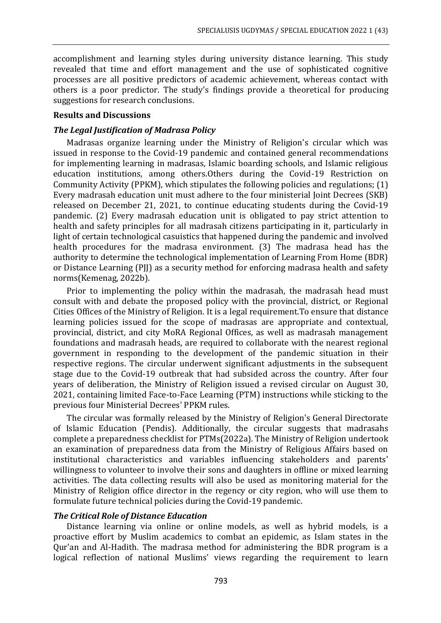accomplishment and learning styles during university distance learning. This study revealed that time and effort management and the use of sophisticated cognitive processes are all positive predictors of academic achievement, whereas contact with others is a poor predictor. The study's findings provide a theoretical for producing suggestions for research conclusions.

### **Results and Discussions**

### *The Legal Justification of Madrasa Policy*

Madrasas organize learning under the Ministry of Religion's circular which was issued in response to the Covid-19 pandemic and contained general recommendations for implementing learning in madrasas, Islamic boarding schools, and Islamic religious education institutions, among others.Others during the Covid-19 Restriction on Community Activity (PPKM), which stipulates the following policies and regulations; (1) Every madrasah education unit must adhere to the four ministerial Joint Decrees (SKB) released on December 21, 2021, to continue educating students during the Covid-19 pandemic. (2) Every madrasah education unit is obligated to pay strict attention to health and safety principles for all madrasah citizens participating in it, particularly in light of certain technological casuistics that happened during the pandemic and involved health procedures for the madrasa environment. (3) The madrasa head has the authority to determine the technological implementation of Learning From Home (BDR) or Distance Learning (PJJ) as a security method for enforcing madrasa health and safety norms(Kemenag, 2022b).

Prior to implementing the policy within the madrasah, the madrasah head must consult with and debate the proposed policy with the provincial, district, or Regional Cities Offices of the Ministry of Religion. It is a legal requirement.To ensure that distance learning policies issued for the scope of madrasas are appropriate and contextual, provincial, district, and city MoRA Regional Offices, as well as madrasah management foundations and madrasah heads, are required to collaborate with the nearest regional government in responding to the development of the pandemic situation in their respective regions. The circular underwent significant adjustments in the subsequent stage due to the Covid-19 outbreak that had subsided across the country. After four years of deliberation, the Ministry of Religion issued a revised circular on August 30, 2021, containing limited Face-to-Face Learning (PTM) instructions while sticking to the previous four Ministerial Decrees' PPKM rules.

The circular was formally released by the Ministry of Religion's General Directorate of Islamic Education (Pendis). Additionally, the circular suggests that madrasahs complete a preparedness checklist for PTMs(2022a). The Ministry of Religion undertook an examination of preparedness data from the Ministry of Religious Affairs based on institutional characteristics and variables influencing stakeholders and parents' willingness to volunteer to involve their sons and daughters in offline or mixed learning activities. The data collecting results will also be used as monitoring material for the Ministry of Religion office director in the regency or city region, who will use them to formulate future technical policies during the Covid-19 pandemic.

### *The Critical Role of Distance Education*

Distance learning via online or online models, as well as hybrid models, is a proactive effort by Muslim academics to combat an epidemic, as Islam states in the Qur'an and Al-Hadith. The madrasa method for administering the BDR program is a logical reflection of national Muslims' views regarding the requirement to learn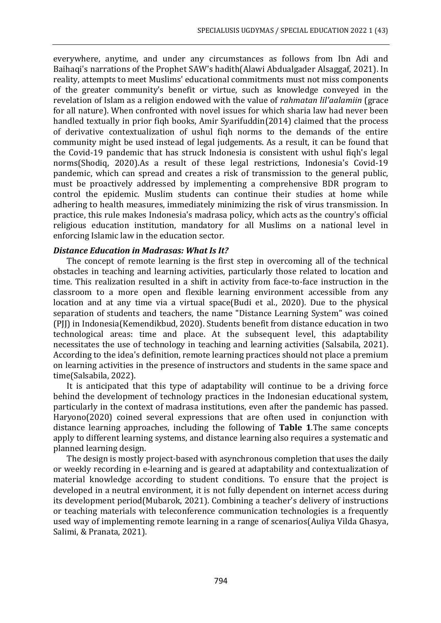everywhere, anytime, and under any circumstances as follows from Ibn Adi and Baihaqi's narrations of the Prophet SAW's hadith(Alawi Abdualgader Alsaggaf, 2021). In reality, attempts to meet Muslims' educational commitments must not miss components of the greater community's benefit or virtue, such as knowledge conveyed in the revelation of Islam as a religion endowed with the value of *rahmatan lil'aalamiin* (grace for all nature). When confronted with novel issues for which sharia law had never been handled textually in prior fiqh books, Amir Syarifuddin(2014) claimed that the process of derivative contextualization of ushul fiqh norms to the demands of the entire community might be used instead of legal judgements. As a result, it can be found that the Covid-19 pandemic that has struck Indonesia is consistent with ushul fiqh's legal norms(Shodiq, 2020).As a result of these legal restrictions, Indonesia's Covid-19 pandemic, which can spread and creates a risk of transmission to the general public, must be proactively addressed by implementing a comprehensive BDR program to control the epidemic. Muslim students can continue their studies at home while adhering to health measures, immediately minimizing the risk of virus transmission. In practice, this rule makes Indonesia's madrasa policy, which acts as the country's official religious education institution, mandatory for all Muslims on a national level in enforcing Islamic law in the education sector.

### *Distance Education in Madrasas: What Is It?*

The concept of remote learning is the first step in overcoming all of the technical obstacles in teaching and learning activities, particularly those related to location and time. This realization resulted in a shift in activity from face-to-face instruction in the classroom to a more open and flexible learning environment accessible from any location and at any time via a virtual space(Budi et al., 2020). Due to the physical separation of students and teachers, the name "Distance Learning System" was coined (PJJ) in Indonesia(Kemendikbud, 2020). Students benefit from distance education in two technological areas: time and place. At the subsequent level, this adaptability necessitates the use of technology in teaching and learning activities (Salsabila, 2021). According to the idea's definition, remote learning practices should not place a premium on learning activities in the presence of instructors and students in the same space and time(Salsabila, 2022).

It is anticipated that this type of adaptability will continue to be a driving force behind the development of technology practices in the Indonesian educational system, particularly in the context of madrasa institutions, even after the pandemic has passed. Haryono(2020) coined several expressions that are often used in conjunction with distance learning approaches, including the following of **Table 1**.The same concepts apply to different learning systems, and distance learning also requires a systematic and planned learning design.

The design is mostly project-based with asynchronous completion that uses the daily or weekly recording in e-learning and is geared at adaptability and contextualization of material knowledge according to student conditions. To ensure that the project is developed in a neutral environment, it is not fully dependent on internet access during its development period(Mubarok, 2021). Combining a teacher's delivery of instructions or teaching materials with teleconference communication technologies is a frequently used way of implementing remote learning in a range of scenarios(Auliya Vilda Ghasya, Salimi, & Pranata, 2021).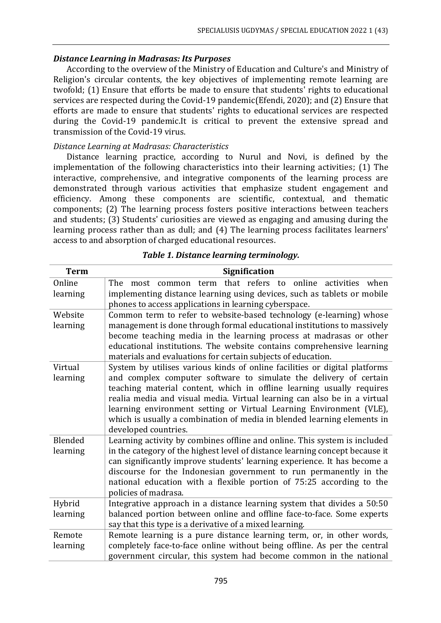# *Distance Learning in Madrasas: Its Purposes*

According to the overview of the Ministry of Education and Culture's and Ministry of Religion's circular contents, the key objectives of implementing remote learning are twofold; (1) Ensure that efforts be made to ensure that students' rights to educational services are respected during the Covid-19 pandemic(Efendi, 2020); and (2) Ensure that efforts are made to ensure that students' rights to educational services are respected during the Covid-19 pandemic.It is critical to prevent the extensive spread and transmission of the Covid-19 virus.

# *Distance Learning at Madrasas: Characteristics*

Distance learning practice, according to Nurul and Novi, is defined by the implementation of the following characteristics into their learning activities; (1) The interactive, comprehensive, and integrative components of the learning process are demonstrated through various activities that emphasize student engagement and efficiency. Among these components are scientific, contextual, and thematic components; (2) The learning process fosters positive interactions between teachers and students; (3) Students' curiosities are viewed as engaging and amusing during the learning process rather than as dull; and (4) The learning process facilitates learners' access to and absorption of charged educational resources.

| <b>Term</b> | <b>Signification</b>                                                                                                                            |  |  |  |  |  |
|-------------|-------------------------------------------------------------------------------------------------------------------------------------------------|--|--|--|--|--|
| Online      | most common term that refers to online activities when<br>The                                                                                   |  |  |  |  |  |
| learning    | implementing distance learning using devices, such as tablets or mobile                                                                         |  |  |  |  |  |
|             | phones to access applications in learning cyberspace.                                                                                           |  |  |  |  |  |
| Website     | Common term to refer to website-based technology (e-learning) whose                                                                             |  |  |  |  |  |
| learning    | management is done through formal educational institutions to massively                                                                         |  |  |  |  |  |
|             | become teaching media in the learning process at madrasas or other                                                                              |  |  |  |  |  |
|             | educational institutions. The website contains comprehensive learning                                                                           |  |  |  |  |  |
|             | materials and evaluations for certain subjects of education.                                                                                    |  |  |  |  |  |
| Virtual     | System by utilises various kinds of online facilities or digital platforms                                                                      |  |  |  |  |  |
| learning    | and complex computer software to simulate the delivery of certain                                                                               |  |  |  |  |  |
|             | teaching material content, which in offline learning usually requires                                                                           |  |  |  |  |  |
|             | realia media and visual media. Virtual learning can also be in a virtual<br>learning environment setting or Virtual Learning Environment (VLE), |  |  |  |  |  |
|             | which is usually a combination of media in blended learning elements in                                                                         |  |  |  |  |  |
|             | developed countries.                                                                                                                            |  |  |  |  |  |
| Blended     | Learning activity by combines offline and online. This system is included                                                                       |  |  |  |  |  |
| learning    | in the category of the highest level of distance learning concept because it                                                                    |  |  |  |  |  |
|             | can significantly improve students' learning experience. It has become a                                                                        |  |  |  |  |  |
|             | discourse for the Indonesian government to run permanently in the                                                                               |  |  |  |  |  |
|             | national education with a flexible portion of 75:25 according to the                                                                            |  |  |  |  |  |
|             | policies of madrasa.                                                                                                                            |  |  |  |  |  |
| Hybrid      | Integrative approach in a distance learning system that divides a 50:50                                                                         |  |  |  |  |  |
| learning    | balanced portion between online and offline face-to-face. Some experts                                                                          |  |  |  |  |  |
|             | say that this type is a derivative of a mixed learning.                                                                                         |  |  |  |  |  |
| Remote      | Remote learning is a pure distance learning term, or, in other words,                                                                           |  |  |  |  |  |
| learning    | completely face-to-face online without being offline. As per the central                                                                        |  |  |  |  |  |
|             | government circular, this system had become common in the national                                                                              |  |  |  |  |  |

|  |  | Table 1. Distance learning terminology. |  |
|--|--|-----------------------------------------|--|
|  |  |                                         |  |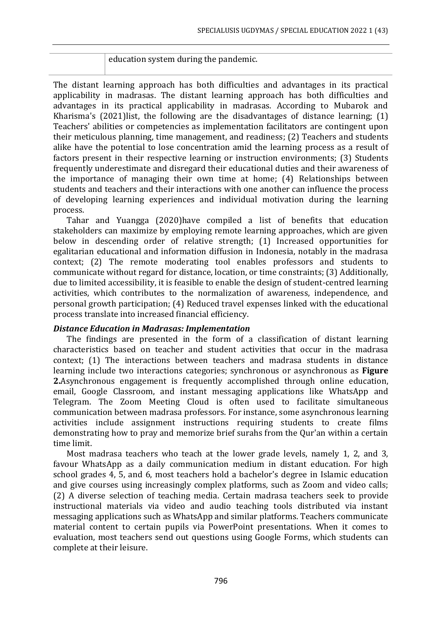# education system during the pandemic.

The distant learning approach has both difficulties and advantages in its practical applicability in madrasas. The distant learning approach has both difficulties and advantages in its practical applicability in madrasas. According to Mubarok and Kharisma's (2021)list, the following are the disadvantages of distance learning; (1) Teachers' abilities or competencies as implementation facilitators are contingent upon their meticulous planning, time management, and readiness; (2) Teachers and students alike have the potential to lose concentration amid the learning process as a result of factors present in their respective learning or instruction environments; (3) Students frequently underestimate and disregard their educational duties and their awareness of the importance of managing their own time at home; (4) Relationships between students and teachers and their interactions with one another can influence the process of developing learning experiences and individual motivation during the learning process.

Tahar and Yuangga (2020)have compiled a list of benefits that education stakeholders can maximize by employing remote learning approaches, which are given below in descending order of relative strength; (1) Increased opportunities for egalitarian educational and information diffusion in Indonesia, notably in the madrasa context; (2) The remote moderating tool enables professors and students to communicate without regard for distance, location, or time constraints; (3) Additionally, due to limited accessibility, it is feasible to enable the design of student-centred learning activities, which contributes to the normalization of awareness, independence, and personal growth participation; (4) Reduced travel expenses linked with the educational process translate into increased financial efficiency.

### *Distance Education in Madrasas: Implementation*

The findings are presented in the form of a classification of distant learning characteristics based on teacher and student activities that occur in the madrasa context; (1) The interactions between teachers and madrasa students in distance learning include two interactions categories; synchronous or asynchronous as **Figure 2.**Asynchronous engagement is frequently accomplished through online education, email, Google Classroom, and instant messaging applications like WhatsApp and Telegram. The Zoom Meeting Cloud is often used to facilitate simultaneous communication between madrasa professors. For instance, some asynchronous learning activities include assignment instructions requiring students to create films demonstrating how to pray and memorize brief surahs from the Qur'an within a certain time limit.

Most madrasa teachers who teach at the lower grade levels, namely 1, 2, and 3, favour WhatsApp as a daily communication medium in distant education. For high school grades 4, 5, and 6, most teachers hold a bachelor's degree in Islamic education and give courses using increasingly complex platforms, such as Zoom and video calls; (2) A diverse selection of teaching media. Certain madrasa teachers seek to provide instructional materials via video and audio teaching tools distributed via instant messaging applications such as WhatsApp and similar platforms. Teachers communicate material content to certain pupils via PowerPoint presentations. When it comes to evaluation, most teachers send out questions using Google Forms, which students can complete at their leisure.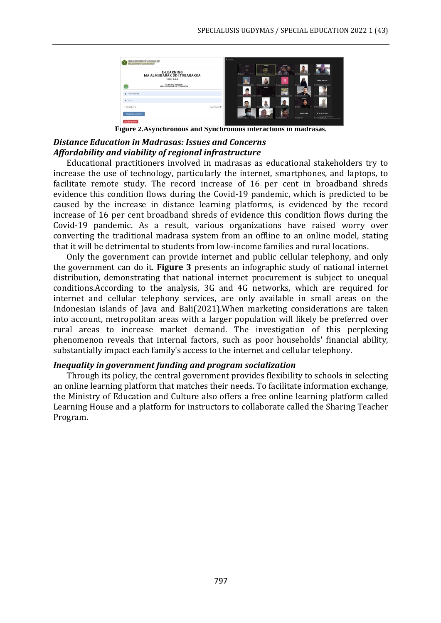

**Figure 2.Asynchronous and Synchronous interactions in madrasas.**

# *Distance Education in Madrasas: Issues and Concerns Affordability and viability of regional infrastructure*

Educational practitioners involved in madrasas as educational stakeholders try to increase the use of technology, particularly the internet, smartphones, and laptops, to facilitate remote study. The record increase of 16 per cent in broadband shreds evidence this condition flows during the Covid-19 pandemic, which is predicted to be caused by the increase in distance learning platforms, is evidenced by the record increase of 16 per cent broadband shreds of evidence this condition flows during the Covid-19 pandemic. As a result, various organizations have raised worry over converting the traditional madrasa system from an offline to an online model, stating that it will be detrimental to students from low-income families and rural locations.

Only the government can provide internet and public cellular telephony, and only the government can do it. **Figure 3** presents an infographic study of national internet distribution, demonstrating that national internet procurement is subject to unequal conditions.According to the analysis, 3G and 4G networks, which are required for internet and cellular telephony services, are only available in small areas on the Indonesian islands of Java and Bali(2021).When marketing considerations are taken into account, metropolitan areas with a larger population will likely be preferred over rural areas to increase market demand. The investigation of this perplexing phenomenon reveals that internal factors, such as poor households' financial ability, substantially impact each family's access to the internet and cellular telephony.

### *Inequality in government funding and program socialization*

Through its policy, the central government provides flexibility to schools in selecting an online learning platform that matches their needs. To facilitate information exchange, the Ministry of Education and Culture also offers a free online learning platform called Learning House and a platform for instructors to collaborate called the Sharing Teacher Program.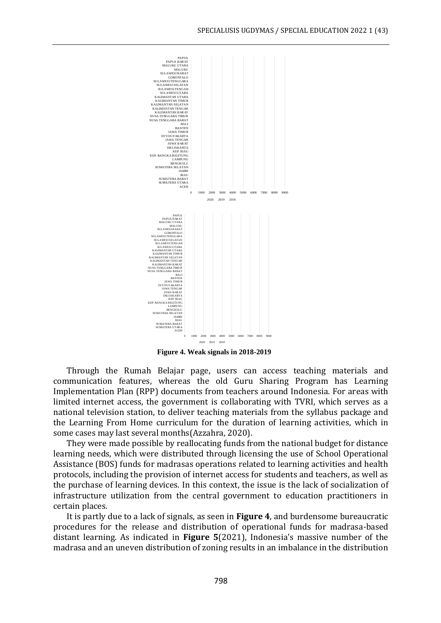

**Distribusi Fasilitas Internet di Desa/Kelurahan Berdasarkan Klasifikasi**

**Figure 4. Weak signals in 2018-2019**

Through the Rumah Belajar page, users can access teaching materials and communication features, whereas the old Guru Sharing Program has Learning Implementation Plan (RPP) documents from teachers around Indonesia. For areas with limited internet access, the government is collaborating with TVRI, which serves as a national television station, to deliver teaching materials from the syllabus package and the Learning From Home curriculum for the duration of learning activities, which in some cases may last several months(Azzahra, 2020).

They were made possible by reallocating funds from the national budget for distance learning needs, which were distributed through licensing the use of School Operational Assistance (BOS) funds for madrasas operations related to learning activities and health protocols, including the provision of internet access for students and teachers, as well as the purchase of learning devices. In this context, the issue is the lack of socialization of infrastructure utilization from the central government to education practitioners in certain places.

It is partly due to a lack of signals, as seen in **Figure 4**, and burdensome bureaucratic procedures for the release and distribution of operational funds for madrasa-based distant learning. As indicated in **Figure 5**(2021), Indonesia's massive number of the madrasa and an uneven distribution of zoning results in an imbalance in the distribution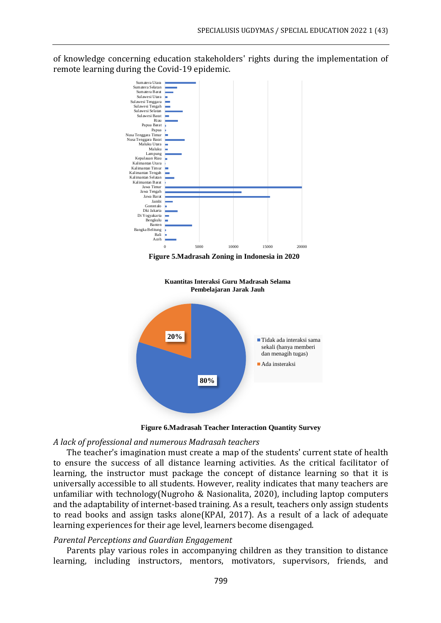of knowledge concerning education stakeholders' rights during the implementation of remote learning during the Covid-19 epidemic. **Sebaran Lembaga Pendidikan Madrasah di Indonesia**



**Figure 6.Madrasah Teacher Interaction Quantity Survey**

#### *A lack of professional and numerous Madrasah teachers*

The teacher's imagination must create a map of the students' current state of health to ensure the success of all distance learning activities. As the critical facilitator of learning, the instructor must package the concept of distance learning so that it is universally accessible to all students. However, reality indicates that many teachers are unfamiliar with technology(Nugroho & Nasionalita, 2020), including laptop computers and the adaptability of internet-based training. As a result, teachers only assign students to read books and assign tasks alone(KPAI, 2017). As a result of a lack of adequate learning experiences for their age level, learners become disengaged.

#### *Parental Perceptions and Guardian Engagement*

Parents play various roles in accompanying children as they transition to distance learning, including instructors, mentors, motivators, supervisors, friends, and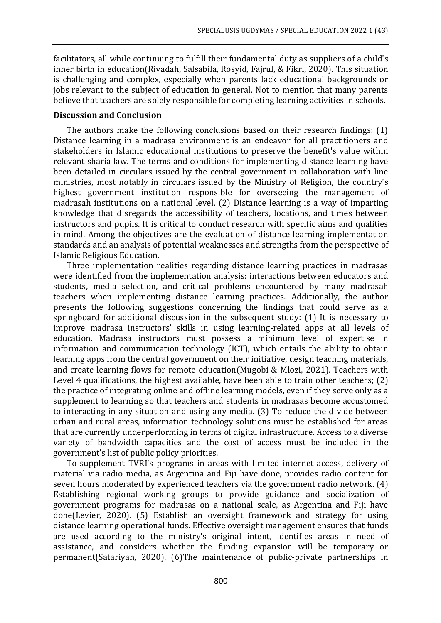facilitators, all while continuing to fulfill their fundamental duty as suppliers of a child's inner birth in education(Rivadah, Salsabila, Rosyid, Fajrul, & Fikri, 2020). This situation is challenging and complex, especially when parents lack educational backgrounds or jobs relevant to the subject of education in general. Not to mention that many parents believe that teachers are solely responsible for completing learning activities in schools.

### **Discussion and Conclusion**

The authors make the following conclusions based on their research findings: (1) Distance learning in a madrasa environment is an endeavor for all practitioners and stakeholders in Islamic educational institutions to preserve the benefit's value within relevant sharia law. The terms and conditions for implementing distance learning have been detailed in circulars issued by the central government in collaboration with line ministries, most notably in circulars issued by the Ministry of Religion, the country's highest government institution responsible for overseeing the management of madrasah institutions on a national level. (2) Distance learning is a way of imparting knowledge that disregards the accessibility of teachers, locations, and times between instructors and pupils. It is critical to conduct research with specific aims and qualities in mind. Among the objectives are the evaluation of distance learning implementation standards and an analysis of potential weaknesses and strengths from the perspective of Islamic Religious Education.

Three implementation realities regarding distance learning practices in madrasas were identified from the implementation analysis: interactions between educators and students, media selection, and critical problems encountered by many madrasah teachers when implementing distance learning practices. Additionally, the author presents the following suggestions concerning the findings that could serve as a springboard for additional discussion in the subsequent study: (1) It is necessary to improve madrasa instructors' skills in using learning-related apps at all levels of education. Madrasa instructors must possess a minimum level of expertise in information and communication technology (ICT), which entails the ability to obtain learning apps from the central government on their initiative, design teaching materials, and create learning flows for remote education(Mugobi & Mlozi, 2021). Teachers with Level 4 qualifications, the highest available, have been able to train other teachers; (2) the practice of integrating online and offline learning models, even if they serve only as a supplement to learning so that teachers and students in madrasas become accustomed to interacting in any situation and using any media. (3) To reduce the divide between urban and rural areas, information technology solutions must be established for areas that are currently underperforming in terms of digital infrastructure. Access to a diverse variety of bandwidth capacities and the cost of access must be included in the government's list of public policy priorities.

To supplement TVRI's programs in areas with limited internet access, delivery of material via radio media, as Argentina and Fiji have done, provides radio content for seven hours moderated by experienced teachers via the government radio network. (4) Establishing regional working groups to provide guidance and socialization of government programs for madrasas on a national scale, as Argentina and Fiji have done(Levier, 2020). (5) Establish an oversight framework and strategy for using distance learning operational funds. Effective oversight management ensures that funds are used according to the ministry's original intent, identifies areas in need of assistance, and considers whether the funding expansion will be temporary or permanent(Satariyah, 2020). (6)The maintenance of public-private partnerships in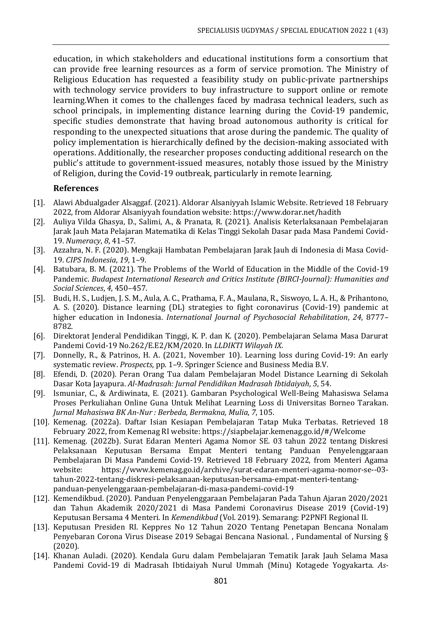education, in which stakeholders and educational institutions form a consortium that can provide free learning resources as a form of service promotion. The Ministry of Religious Education has requested a feasibility study on public-private partnerships with technology service providers to buy infrastructure to support online or remote learning.When it comes to the challenges faced by madrasa technical leaders, such as school principals, in implementing distance learning during the Covid-19 pandemic, specific studies demonstrate that having broad autonomous authority is critical for responding to the unexpected situations that arose during the pandemic. The quality of policy implementation is hierarchically defined by the decision-making associated with operations. Additionally, the researcher proposes conducting additional research on the public's attitude to government-issued measures, notably those issued by the Ministry of Religion, during the Covid-19 outbreak, particularly in remote learning.

### **References**

- [1]. Alawi Abdualgader Alsaggaf. (2021). Aldorar Alsaniyyah Islamic Website. Retrieved 18 February 2022, from Aldorar Alsaniyyah foundation website: https://www.dorar.net/hadith
- [2]. Auliya Vilda Ghasya, D., Salimi, A., & Pranata, R. (2021). Analisis Keterlaksanaan Pembelajaran Jarak Jauh Mata Pelajaran Matematika di Kelas Tinggi Sekolah Dasar pada Masa Pandemi Covid-19. *Numeracy*, *8*, 41–57.
- [3]. Azzahra, N. F. (2020). Mengkaji Hambatan Pembelajaran Jarak Jauh di Indonesia di Masa Covid-19. *CIPS Indonesia*, *19*, 1–9.
- [4]. Batubara, B. M. (2021). The Problems of the World of Education in the Middle of the Covid-19 Pandemic. *Budapest International Research and Critics Institute (BIRCI-Journal): Humanities and Social Sciences*, *4*, 450–457.
- [5]. Budi, H. S., Ludjen, J. S. M., Aula, A. C., Prathama, F. A., Maulana, R., Siswoyo, L. A. H., & Prihantono, A. S. (2020). Distance learning (DL) strategies to fight coronavirus (Covid-19) pandemic at higher education in Indonesia. *International Journal of Psychosocial Rehabilitation*, *24*, 8777– 8782.
- [6]. Direktorat Jenderal Pendidikan Tinggi, K. P. dan K. (2020). Pembelajaran Selama Masa Darurat Pandemi Covid-19 No.262/E.E2/KM/2020. In *LLDIKTI Wilayah IX*.
- [7]. Donnelly, R., & Patrinos, H. A. (2021, November 10). Learning loss during Covid-19: An early systematic review. *Prospects*, pp. 1–9. Springer Science and Business Media B.V.
- [8]. Efendi, D. (2020). Peran Orang Tua dalam Pembelajaran Model Distance Learning di Sekolah Dasar Kota Jayapura. *Al-Madrasah: Jurnal Pendidikan Madrasah Ibtidaiyah*, *5*, 54.
- [9]. Ismuniar, C., & Ardiwinata, E. (2021). Gambaran Psychological Well-Being Mahasiswa Selama Proses Perkuliahan Online Guna Untuk Melihat Learning Loss di Universitas Borneo Tarakan. *Jurnal Mahasiswa BK An-Nur : Berbeda, Bermakna, Mulia*, *7*, 105.
- [10]. Kemenag. (2022a). Daftar Isian Kesiapan Pembelajaran Tatap Muka Terbatas. Retrieved 18 February 2022, from Kemenag RI website: https://siapbelajar.kemenag.go.id/#/Welcome
- [11]. Kemenag. (2022b). Surat Edaran Menteri Agama Nomor SE. 03 tahun 2022 tentang Diskresi Pelaksanaan Keputusan Bersama Empat Menteri tentang Panduan Penyelenggaraan Pembelajaran Di Masa Pandemi Covid-19. Retrieved 18 February 2022, from Menteri Agama website: https://www.kemenag.go.id/archive/surat-edaran-menteri-agama-nomor-se--03 tahun-2022-tentang-diskresi-pelaksanaan-keputusan-bersama-empat-menteri-tentangpanduan-penyelenggaraan-pembelajaran-di-masa-pandemi-covid-19
- [12]. Kemendikbud. (2020). Panduan Penyelenggaraan Pembelajaran Pada Tahun Ajaran 2020/2021 dan Tahun Akademik 2020/2021 di Masa Pandemi Coronavirus Disease 2019 (Covid-19) Keputusan Bersama 4 Menteri. In *Kemendikbud* (Vol. 2019). Semarang: P2PNFI Regional II.
- [13]. Keputusan Presiden RI. Keppres No 12 Tahun 2O2O Tentang Penetapan Bencana Nonalam Penyebaran Corona Virus Disease 2019 Sebagai Bencana Nasional. , Fundamental of Nursing § (2020).
- [14]. Khanan Auladi. (2020). Kendala Guru dalam Pembelajaran Tematik Jarak Jauh Selama Masa Pandemi Covid-19 di Madrasah Ibtidaiyah Nurul Ummah (Minu) Kotagede Yogyakarta. *As-*